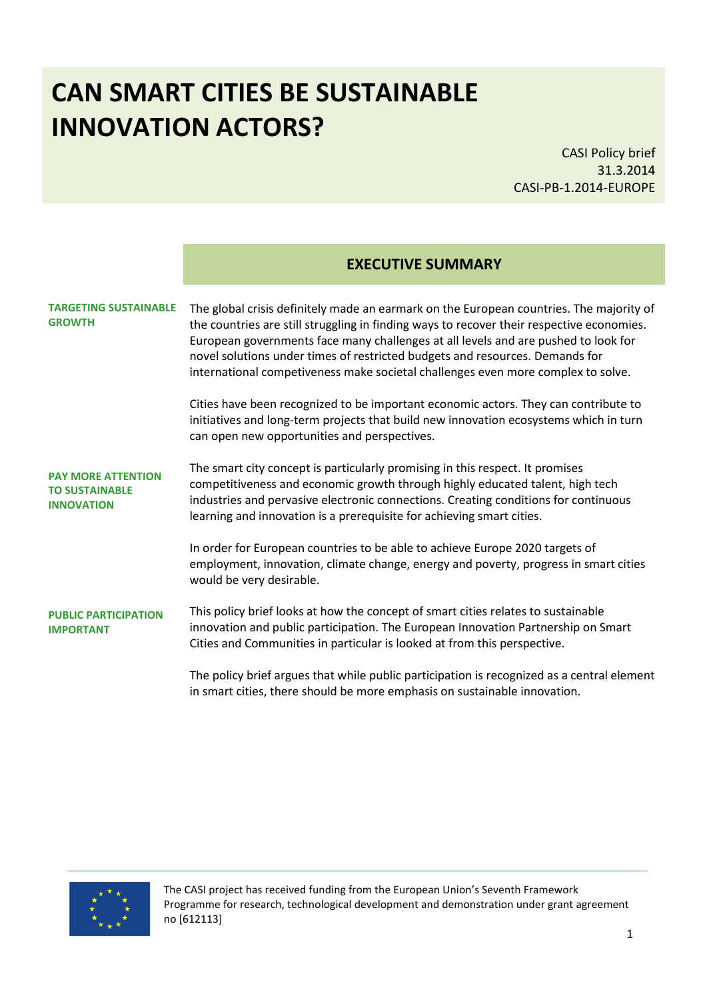# **CAN SMART CITIES BE SUSTAINABLE INNOVATION ACTORS?**

CASI Policy brief 31.3.2014 CASI-PB-1.2014-EUROPE

| <b>EXECUTIVE SUMMARY</b> |  |
|--------------------------|--|
|--------------------------|--|

#### **TARGETING SUSTAINABLE GROWTH**

The global crisis definitely made an earmark on the European countries. The majority of the countries are still struggling in finding ways to recover their respective economies. European governments face many challenges at all levels and are pushed to look for novel solutions under times of restricted budgets and resources. Demands for international competiveness make societal challenges even more complex to solve.

Cities have been recognized to be important economic actors. They can contribute to initiatives and long-term projects that build new innovation ecosystems which in turn can open new opportunities and perspectives.

**PAY MORE ATTENTION TO SUSTAINABLE INNOVATION** The smart city concept is particularly promising in this respect. It promises competitiveness and economic growth through highly educated talent, high tech industries and pervasive electronic connections. Creating conditions for continuous learning and innovation is a prerequisite for achieving smart cities.

> In order for European countries to be able to achieve Europe 2020 targets of employment, innovation, climate change, energy and poverty, progress in smart cities would be very desirable.

**PUBLIC PARTICIPATION IMPORTANT** This policy brief looks at how the concept of smart cities relates to sustainable innovation and public participation. The European Innovation Partnership on Smart Cities and Communities in particular is looked at from this perspective.

> The policy brief argues that while public participation is recognized as a central element in smart cities, there should be more emphasis on sustainable innovation.

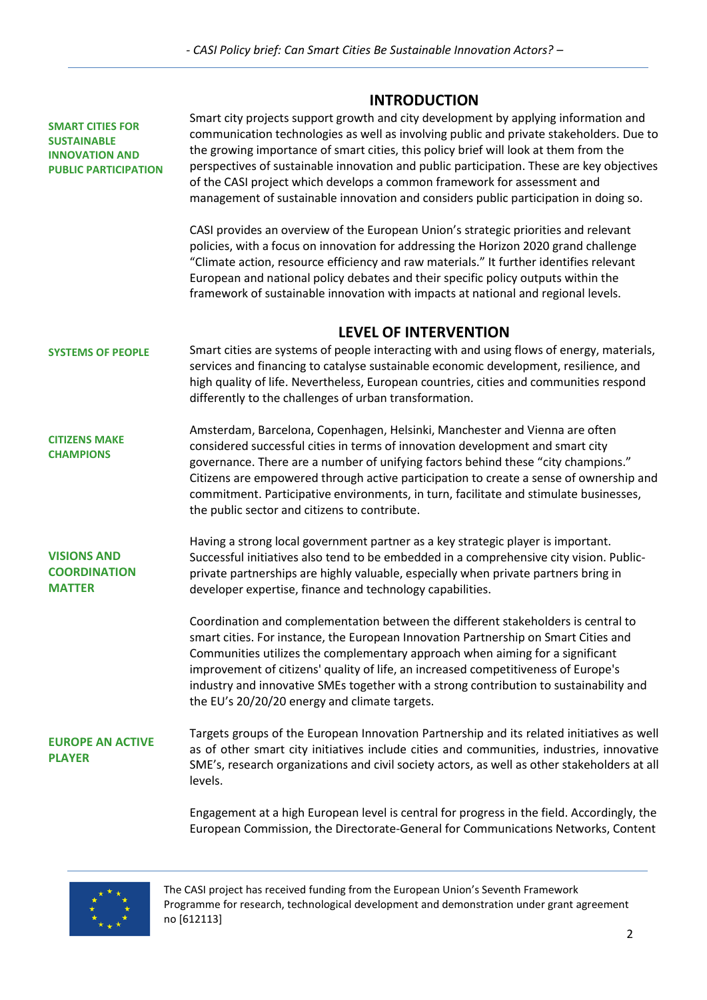# **INTRODUCTION**

|                                                                                                       | ,,,,,,,,,,,,,,                                                                                                                                                                                                                                                                                                                                                                                                                                                                                                                          |  |  |  |
|-------------------------------------------------------------------------------------------------------|-----------------------------------------------------------------------------------------------------------------------------------------------------------------------------------------------------------------------------------------------------------------------------------------------------------------------------------------------------------------------------------------------------------------------------------------------------------------------------------------------------------------------------------------|--|--|--|
| <b>SMART CITIES FOR</b><br><b>SUSTAINABLE</b><br><b>INNOVATION AND</b><br><b>PUBLIC PARTICIPATION</b> | Smart city projects support growth and city development by applying information and<br>communication technologies as well as involving public and private stakeholders. Due to<br>the growing importance of smart cities, this policy brief will look at them from the<br>perspectives of sustainable innovation and public participation. These are key objectives<br>of the CASI project which develops a common framework for assessment and<br>management of sustainable innovation and considers public participation in doing so. |  |  |  |
|                                                                                                       | CASI provides an overview of the European Union's strategic priorities and relevant<br>policies, with a focus on innovation for addressing the Horizon 2020 grand challenge<br>"Climate action, resource efficiency and raw materials." It further identifies relevant<br>European and national policy debates and their specific policy outputs within the<br>framework of sustainable innovation with impacts at national and regional levels.                                                                                        |  |  |  |
|                                                                                                       | <b>LEVEL OF INTERVENTION</b>                                                                                                                                                                                                                                                                                                                                                                                                                                                                                                            |  |  |  |
| <b>SYSTEMS OF PEOPLE</b>                                                                              | Smart cities are systems of people interacting with and using flows of energy, materials,<br>services and financing to catalyse sustainable economic development, resilience, and<br>high quality of life. Nevertheless, European countries, cities and communities respond<br>differently to the challenges of urban transformation.                                                                                                                                                                                                   |  |  |  |
| <b>CITIZENS MAKE</b><br><b>CHAMPIONS</b>                                                              | Amsterdam, Barcelona, Copenhagen, Helsinki, Manchester and Vienna are often<br>considered successful cities in terms of innovation development and smart city<br>governance. There are a number of unifying factors behind these "city champions."<br>Citizens are empowered through active participation to create a sense of ownership and<br>commitment. Participative environments, in turn, facilitate and stimulate businesses,<br>the public sector and citizens to contribute.                                                  |  |  |  |
| <b>VISIONS AND</b><br><b>COORDINATION</b><br><b>MATTER</b>                                            | Having a strong local government partner as a key strategic player is important.<br>Successful initiatives also tend to be embedded in a comprehensive city vision. Public-<br>private partnerships are highly valuable, especially when private partners bring in<br>developer expertise, finance and technology capabilities.                                                                                                                                                                                                         |  |  |  |
|                                                                                                       | Coordination and complementation between the different stakeholders is central to<br>smart cities. For instance, the European Innovation Partnership on Smart Cities and<br>Communities utilizes the complementary approach when aiming for a significant<br>improvement of citizens' quality of life, an increased competitiveness of Europe's<br>industry and innovative SMEs together with a strong contribution to sustainability and<br>the EU's 20/20/20 energy and climate targets.                                              |  |  |  |
| <b>EUROPE AN ACTIVE</b><br><b>PLAYER</b>                                                              | Targets groups of the European Innovation Partnership and its related initiatives as well<br>as of other smart city initiatives include cities and communities, industries, innovative<br>SME's, research organizations and civil society actors, as well as other stakeholders at all<br>levels.                                                                                                                                                                                                                                       |  |  |  |
|                                                                                                       | Engagement at a high European level is central for progress in the field. Accordingly, the<br>European Commission, the Directorate-General for Communications Networks, Content                                                                                                                                                                                                                                                                                                                                                         |  |  |  |

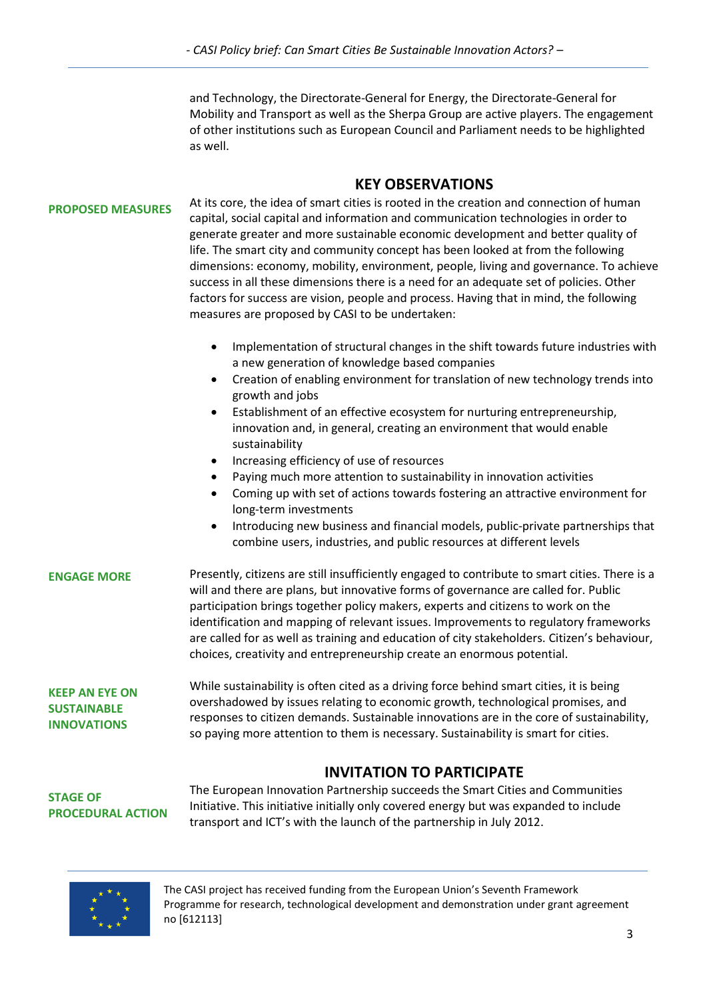and Technology, the Directorate-General for Energy, the Directorate-General for Mobility and Transport as well as the Sherpa Group are active players. The engagement of other institutions such as European Council and Parliament needs to be highlighted as well.

# **KEY OBSERVATIONS**

#### **PROPOSED MEASURES**

At its core, the idea of smart cities is rooted in the creation and connection of human capital, social capital and information and communication technologies in order to generate greater and more sustainable economic development and better quality of life. The smart city and community concept has been looked at from the following dimensions: economy, mobility, environment, people, living and governance. To achieve success in all these dimensions there is a need for an adequate set of policies. Other factors for success are vision, people and process. Having that in mind, the following measures are proposed by CASI to be undertaken:

- Implementation of structural changes in the shift towards future industries with a new generation of knowledge based companies
- Creation of enabling environment for translation of new technology trends into growth and jobs
- Establishment of an effective ecosystem for nurturing entrepreneurship, innovation and, in general, creating an environment that would enable sustainability
- Increasing efficiency of use of resources
- Paying much more attention to sustainability in innovation activities
- Coming up with set of actions towards fostering an attractive environment for long-term investments
- Introducing new business and financial models, public-private partnerships that combine users, industries, and public resources at different levels

| <b>ENGAGE MORE</b> | Presently, citizens are still insufficiently engaged to contribute to smart cities. There is a<br>will and there are plans, but innovative forms of governance are called for. Public<br>participation brings together policy makers, experts and citizens to work on the<br>identification and mapping of relevant issues. Improvements to regulatory frameworks<br>are called for as well as training and education of city stakeholders. Citizen's behaviour, |
|--------------------|------------------------------------------------------------------------------------------------------------------------------------------------------------------------------------------------------------------------------------------------------------------------------------------------------------------------------------------------------------------------------------------------------------------------------------------------------------------|
|                    | choices, creativity and entrepreneurship create an enormous potential.                                                                                                                                                                                                                                                                                                                                                                                           |

**KEEP AN EYE ON SUSTAINABLE INNOVATIONS**

While sustainability is often cited as a driving force behind smart cities, it is being overshadowed by issues relating to economic growth, technological promises, and responses to citizen demands. Sustainable innovations are in the core of sustainability, so paying more attention to them is necessary. Sustainability is smart for cities.

# **INVITATION TO PARTICIPATE**

**STAGE OF PROCEDURAL ACTION** The European Innovation Partnership succeeds the Smart Cities and Communities Initiative. This initiative initially only covered energy but was expanded to include transport and ICT's with the launch of the partnership in July 2012.

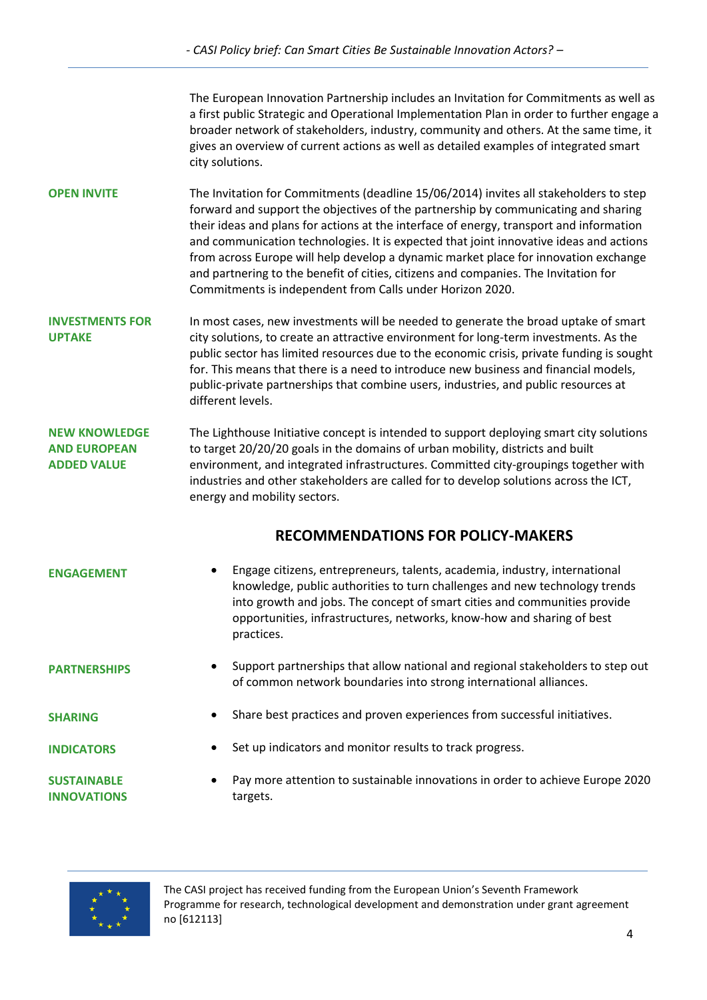The European Innovation Partnership includes an Invitation for Commitments as well as a first public Strategic and Operational Implementation Plan in order to further engage a broader network of stakeholders, industry, community and others. At the same time, it gives an overview of current actions as well as detailed examples of integrated smart city solutions.

**OPEN INVITE** The Invitation for Commitments (deadline 15/06/2014) invites all stakeholders to step forward and support the objectives of the partnership by communicating and sharing their ideas and plans for actions at the interface of energy, transport and information and communication technologies. It is expected that joint innovative ideas and actions from across Europe will help develop a dynamic market place for innovation exchange and partnering to the benefit of cities, citizens and companies. The Invitation for Commitments is independent from Calls under Horizon 2020.

**INVESTMENTS FOR UPTAKE** In most cases, new investments will be needed to generate the broad uptake of smart city solutions, to create an attractive environment for long-term investments. As the public sector has limited resources due to the economic crisis, private funding is sought for. This means that there is a need to introduce new business and financial models, public-private partnerships that combine users, industries, and public resources at different levels.

**NEW KNOWLEDGE AND EUROPEAN ADDED VALUE** The Lighthouse Initiative concept is intended to support deploying smart city solutions to target 20/20/20 goals in the domains of urban mobility, districts and built environment, and integrated infrastructures. Committed city-groupings together with industries and other stakeholders are called for to develop solutions across the ICT, energy and mobility sectors.

# **RECOMMENDATIONS FOR POLICY-MAKERS**

| <b>ENGAGEMENT</b>   | Engage citizens, entrepreneurs, talents, academia, industry, international<br>knowledge, public authorities to turn challenges and new technology trends<br>into growth and jobs. The concept of smart cities and communities provide<br>opportunities, infrastructures, networks, know-how and sharing of best<br>practices. |
|---------------------|-------------------------------------------------------------------------------------------------------------------------------------------------------------------------------------------------------------------------------------------------------------------------------------------------------------------------------|
| <b>PARTNERSHIPS</b> | Support partnerships that allow national and regional stakeholders to step our                                                                                                                                                                                                                                                |

 Support partnerships that allow national and regional stakeholders to step out of common network boundaries into strong international alliances.

**SHARING**

**INDICATORS**

- Share best practices and proven experiences from successful initiatives.
- Set up indicators and monitor results to track progress.

**SUSTAINABLE INNOVATIONS**  Pay more attention to sustainable innovations in order to achieve Europe 2020 targets.